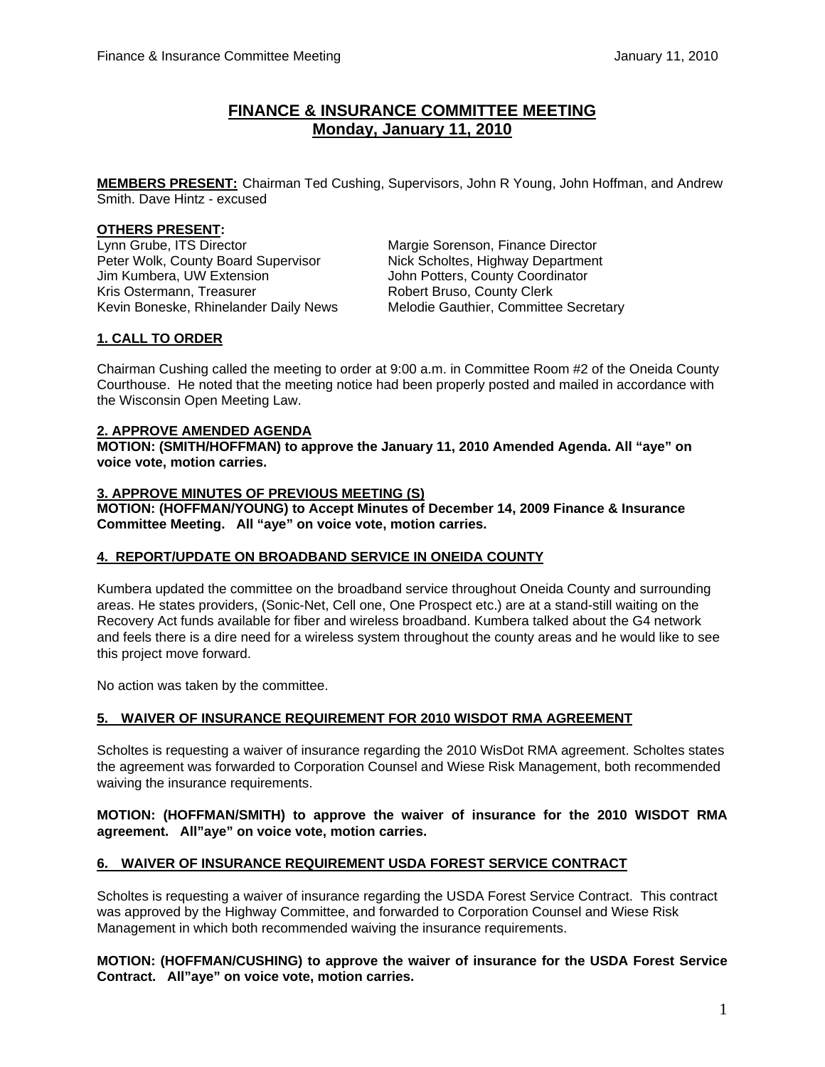# **FINANCE & INSURANCE COMMITTEE MEETING Monday, January 11, 2010**

**MEMBERS PRESENT:** Chairman Ted Cushing, Supervisors, John R Young, John Hoffman, and Andrew Smith. Dave Hintz - excused

## **OTHERS PRESENT:**

Lynn Grube, ITS Director Margie Sorenson, Finance Director Peter Wolk, County Board Supervisor Nick Scholtes, Highway Department<br>
John Potters, County Coordinator<br>
John Potters, County Coordinator Kris Ostermann, Treasurer **Robert Bruso, County Clerk** Robert Bruso, County Clerk

John Potters, County Coordinator Kevin Boneske, Rhinelander Daily News Melodie Gauthier, Committee Secretary

## **1. CALL TO ORDER**

Chairman Cushing called the meeting to order at 9:00 a.m. in Committee Room #2 of the Oneida County Courthouse. He noted that the meeting notice had been properly posted and mailed in accordance with the Wisconsin Open Meeting Law.

### **2. APPROVE AMENDED AGENDA**

**MOTION: (SMITH/HOFFMAN) to approve the January 11, 2010 Amended Agenda. All "aye" on voice vote, motion carries.** 

### **3. APPROVE MINUTES OF PREVIOUS MEETING (S)**

**MOTION: (HOFFMAN/YOUNG) to Accept Minutes of December 14, 2009 Finance & Insurance Committee Meeting. All "aye" on voice vote, motion carries.** 

## **4. REPORT/UPDATE ON BROADBAND SERVICE IN ONEIDA COUNTY**

Kumbera updated the committee on the broadband service throughout Oneida County and surrounding areas. He states providers, (Sonic-Net, Cell one, One Prospect etc.) are at a stand-still waiting on the Recovery Act funds available for fiber and wireless broadband. Kumbera talked about the G4 network and feels there is a dire need for a wireless system throughout the county areas and he would like to see this project move forward.

No action was taken by the committee.

### **5. WAIVER OF INSURANCE REQUIREMENT FOR 2010 WISDOT RMA AGREEMENT**

 Scholtes is requesting a waiver of insurance regarding the 2010 WisDot RMA agreement. Scholtes states the agreement was forwarded to Corporation Counsel and Wiese Risk Management, both recommended waiving the insurance requirements.

### **MOTION: (HOFFMAN/SMITH) to approve the waiver of insurance for the 2010 WISDOT RMA agreement. All"aye" on voice vote, motion carries.**

## **6. WAIVER OF INSURANCE REQUIREMENT USDA FOREST SERVICE CONTRACT**

 Scholtes is requesting a waiver of insurance regarding the USDA Forest Service Contract. This contract was approved by the Highway Committee, and forwarded to Corporation Counsel and Wiese Risk Management in which both recommended waiving the insurance requirements.

**MOTION: (HOFFMAN/CUSHING) to approve the waiver of insurance for the USDA Forest Service Contract. All"aye" on voice vote, motion carries.**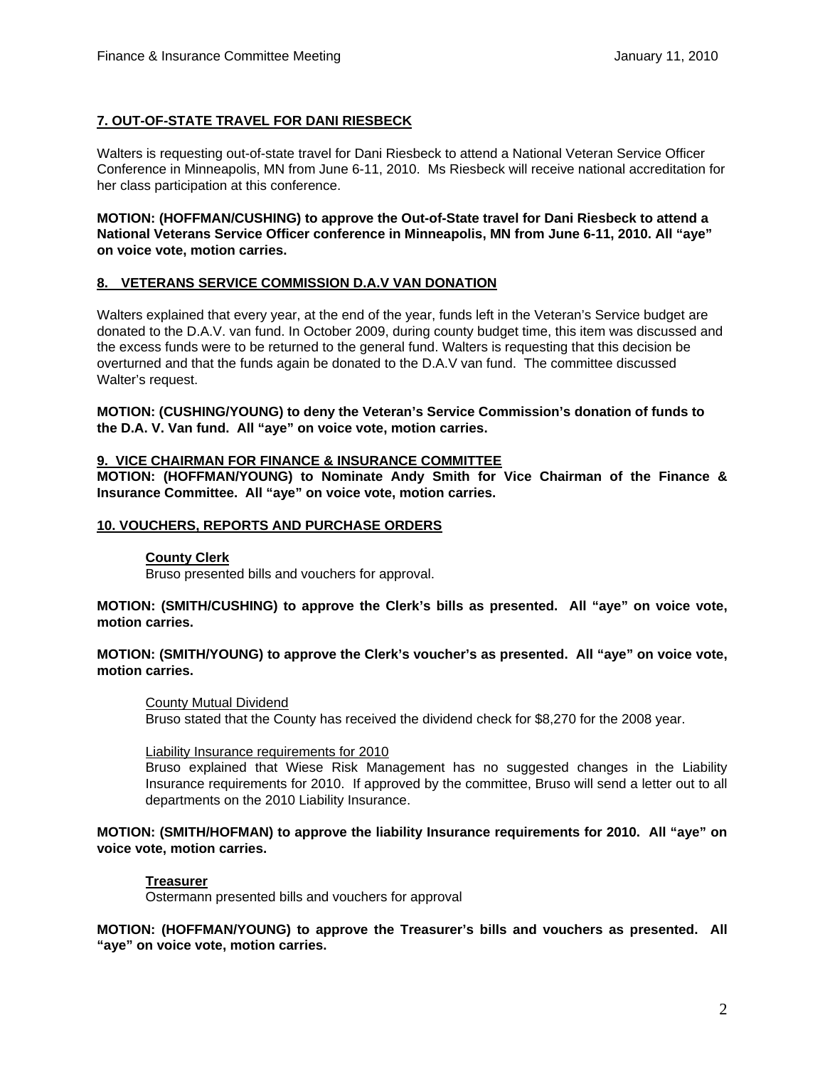## **7. OUT-OF-STATE TRAVEL FOR DANI RIESBECK**

Walters is requesting out-of-state travel for Dani Riesbeck to attend a National Veteran Service Officer Conference in Minneapolis, MN from June 6-11, 2010. Ms Riesbeck will receive national accreditation for her class participation at this conference.

 **MOTION: (HOFFMAN/CUSHING) to approve the Out-of-State travel for Dani Riesbeck to attend a National Veterans Service Officer conference in Minneapolis, MN from June 6-11, 2010. All "aye" on voice vote, motion carries.** 

## **8. VETERANS SERVICE COMMISSION D.A.V VAN DONATION**

Walters explained that every year, at the end of the year, funds left in the Veteran's Service budget are donated to the D.A.V. van fund. In October 2009, during county budget time, this item was discussed and the excess funds were to be returned to the general fund. Walters is requesting that this decision be overturned and that the funds again be donated to the D.A.V van fund. The committee discussed Walter's request.

 **MOTION: (CUSHING/YOUNG) to deny the Veteran's Service Commission's donation of funds to the D.A. V. Van fund. All "aye" on voice vote, motion carries.** 

## **9. VICE CHAIRMAN FOR FINANCE & INSURANCE COMMITTEE**

**MOTION: (HOFFMAN/YOUNG) to Nominate Andy Smith for Vice Chairman of the Finance & Insurance Committee. All "aye" on voice vote, motion carries.** 

### **10. VOUCHERS, REPORTS AND PURCHASE ORDERS**

### **County Clerk**

Bruso presented bills and vouchers for approval.

**MOTION: (SMITH/CUSHING) to approve the Clerk's bills as presented. All "aye" on voice vote, motion carries.** 

### **MOTION: (SMITH/YOUNG) to approve the Clerk's voucher's as presented. All "aye" on voice vote, motion carries.**

### County Mutual Dividend

Bruso stated that the County has received the dividend check for \$8,270 for the 2008 year.

#### Liability Insurance requirements for 2010

Bruso explained that Wiese Risk Management has no suggested changes in the Liability Insurance requirements for 2010. If approved by the committee, Bruso will send a letter out to all departments on the 2010 Liability Insurance.

**MOTION: (SMITH/HOFMAN) to approve the liability Insurance requirements for 2010. All "aye" on voice vote, motion carries.**

### **Treasurer**

Ostermann presented bills and vouchers for approval

**MOTION: (HOFFMAN/YOUNG) to approve the Treasurer's bills and vouchers as presented. All "aye" on voice vote, motion carries.**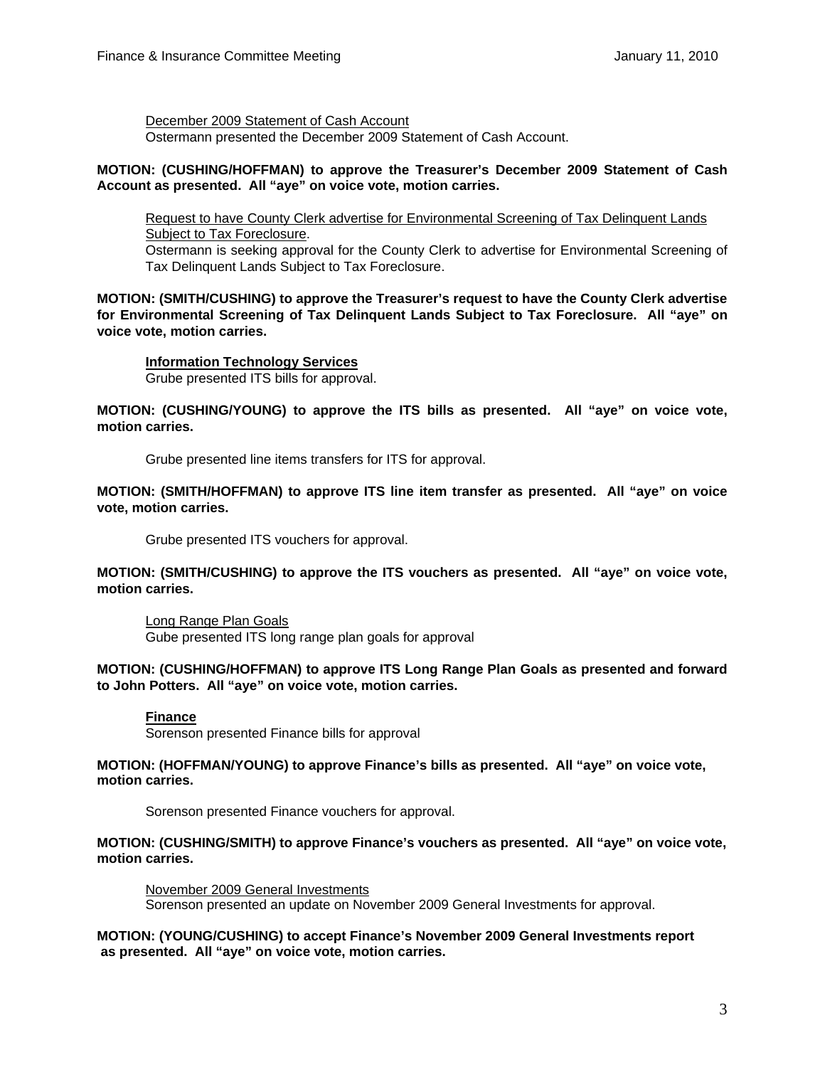December 2009 Statement of Cash Account Ostermann presented the December 2009 Statement of Cash Account.

## **MOTION: (CUSHING/HOFFMAN) to approve the Treasurer's December 2009 Statement of Cash Account as presented. All "aye" on voice vote, motion carries.**

Request to have County Clerk advertise for Environmental Screening of Tax Delinquent Lands Subject to Tax Foreclosure. Ostermann is seeking approval for the County Clerk to advertise for Environmental Screening of

Tax Delinquent Lands Subject to Tax Foreclosure.

**MOTION: (SMITH/CUSHING) to approve the Treasurer's request to have the County Clerk advertise for Environmental Screening of Tax Delinquent Lands Subject to Tax Foreclosure. All "aye" on voice vote, motion carries.** 

## **Information Technology Services**

Grube presented ITS bills for approval.

**MOTION: (CUSHING/YOUNG) to approve the ITS bills as presented. All "aye" on voice vote, motion carries.** 

Grube presented line items transfers for ITS for approval.

**MOTION: (SMITH/HOFFMAN) to approve ITS line item transfer as presented. All "aye" on voice vote, motion carries.** 

Grube presented ITS vouchers for approval.

**MOTION: (SMITH/CUSHING) to approve the ITS vouchers as presented. All "aye" on voice vote, motion carries.** 

Long Range Plan Goals Gube presented ITS long range plan goals for approval

## **MOTION: (CUSHING/HOFFMAN) to approve ITS Long Range Plan Goals as presented and forward to John Potters. All "aye" on voice vote, motion carries.**

## **Finance**

Sorenson presented Finance bills for approval

### **MOTION: (HOFFMAN/YOUNG) to approve Finance's bills as presented. All "aye" on voice vote, motion carries.**

Sorenson presented Finance vouchers for approval.

## **MOTION: (CUSHING/SMITH) to approve Finance's vouchers as presented. All "aye" on voice vote, motion carries.**

 November 2009 General Investments Sorenson presented an update on November 2009 General Investments for approval.

### **MOTION: (YOUNG/CUSHING) to accept Finance's November 2009 General Investments report as presented. All "aye" on voice vote, motion carries.**